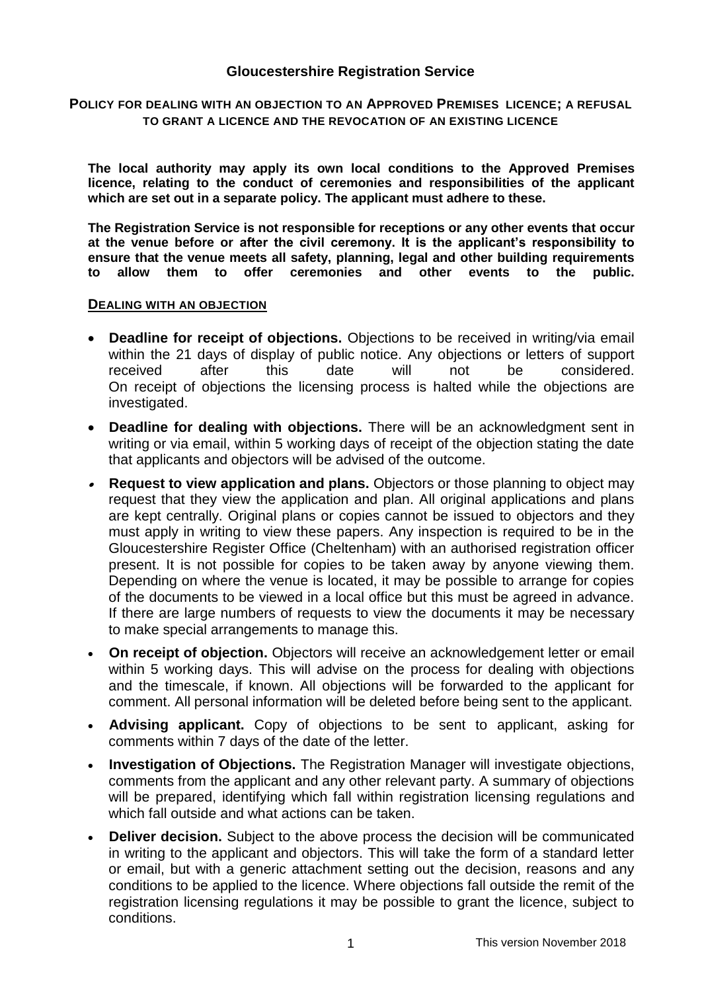## **Gloucestershire Registration Service**

#### **POLICY FOR DEALING WITH AN OBJECTION TO AN APPROVED PREMISES LICENCE; A REFUSAL TO GRANT A LICENCE AND THE REVOCATION OF AN EXISTING LICENCE**

**The local authority may apply its own local conditions to the Approved Premises licence, relating to the conduct of ceremonies and responsibilities of the applicant which are set out in a separate policy. The applicant must adhere to these.**

**The Registration Service is not responsible for receptions or any other events that occur at the venue before or after the civil ceremony. It is the applicant's responsibility to ensure that the venue meets all safety, planning, legal and other building requirements to allow them to offer ceremonies and other events to the public.**

#### **DEALING WITH AN OBJECTION**

- **Deadline for receipt of objections.** Objections to be received in writing/via email within the 21 days of display of public notice. Any objections or letters of support received after this date will not be considered. On receipt of objections the licensing process is halted while the objections are investigated.
- **Deadline for dealing with objections.** There will be an acknowledgment sent in writing or via email, within 5 working days of receipt of the objection stating the date that applicants and objectors will be advised of the outcome.
- $\bullet$  **Request to view application and plans.** Objectors or those planning to object may request that they view the application and plan. All original applications and plans are kept centrally. Original plans or copies cannot be issued to objectors and they must apply in writing to view these papers. Any inspection is required to be in the Gloucestershire Register Office (Cheltenham) with an authorised registration officer present. It is not possible for copies to be taken away by anyone viewing them. Depending on where the venue is located, it may be possible to arrange for copies of the documents to be viewed in a local office but this must be agreed in advance. If there are large numbers of requests to view the documents it may be necessary to make special arrangements to manage this.
- **On receipt of objection.** Objectors will receive an acknowledgement letter or email within 5 working days. This will advise on the process for dealing with objections and the timescale, if known. All objections will be forwarded to the applicant for comment. All personal information will be deleted before being sent to the applicant.
- **Advising applicant.** Copy of objections to be sent to applicant, asking for comments within 7 days of the date of the letter.
- **Investigation of Objections.** The Registration Manager will investigate objections, comments from the applicant and any other relevant party. A summary of objections will be prepared, identifying which fall within registration licensing regulations and which fall outside and what actions can be taken.
- **Deliver decision.** Subject to the above process the decision will be communicated in writing to the applicant and objectors. This will take the form of a standard letter or email, but with a generic attachment setting out the decision, reasons and any conditions to be applied to the licence. Where objections fall outside the remit of the registration licensing regulations it may be possible to grant the licence, subject to conditions.